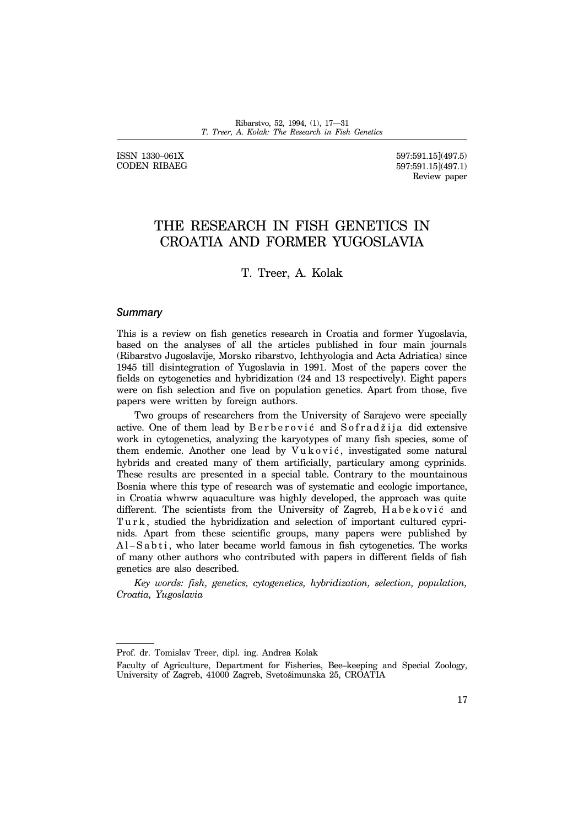ISSN 1330-061X CODEN RIBAEG

597:591.15](497.5) 597:591.15](497.1) Review paper

# THE RESEARCH IN FISH GENETICS IN CROATIA AND FORMER YUGOSLAVIA

T. Treer, A. Kolak

#### *Summary*

This is a review on fish genetics research in Croatia and former Yugoslavia, based on the analyses of all the articles published in four main journals (Ribarstvo Jugoslavije, Morsko ribarstvo, Ichthyologia and Acta Adriatica) since 1945 till disintegration of Yugoslavia in 1991. Most of the papers cover the fields on cytogenetics and hybridization (24 and 13 respectively). Eight papers were on fish selection and five on population genetics. Apart from those, five papers were written by foreign authors.

Two groups of researchers from the University of Sarajevo were specially active. One of them lead by Berberović and Sofradžija did extensive work in cytogenetics, analyzing the karyotypes of many fish species, some of them endemic. Another one lead by  $V$ u k o v i  $c$ , investigated some natural hybrids and created many of them artificially, particulary among cyprinids. These results are presented in a special table. Contrary to the mountainous Bosnia where this type of research was of systematic and ecologic importance, in Croatia whwrw aquaculture was highly developed, the approach was quite different. The scientists from the University of Zagreb, Habeković and Turk, studied the hybridization and selection of important cultured cyprinids. Apart from these scientific groups, many papers were published by  $A$ l – S a b t i , who later became world famous in fish cytogenetics. The works of many other authors who contributed with papers in different fields of fish genetics are also described.

*Key words: fish, genetics, cytogenetics, hybridization, selection, population, Croatia, Yugoslavia*

Prof. dr. Tomislav Treer, dipl. ing. Andrea Kolak

Faculty of Agriculture, Department for Fisheries, Bee-keeping and Special Zoology, University of Zagreb, 41000 Zagreb, Svetošimunska 25, CROATIA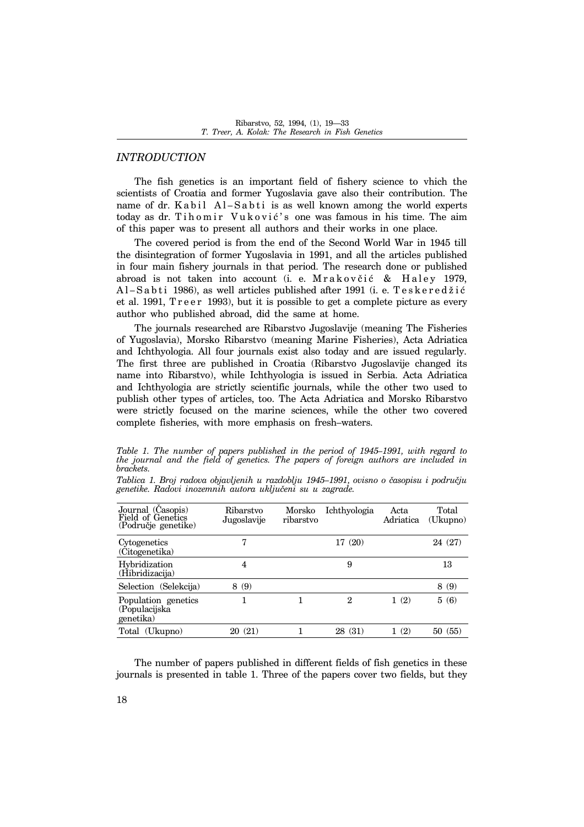## *INTRODUCTION*

The fish genetics is an important field of fishery science to vhich the scientists of Croatia and former Yugoslavia gave also their contribution. The name of dr. K a b il Al-S a b ti is as well known among the world experts today as dr. Tihomir Vuković's one was famous in his time. The aim of this paper was to present all authors and their works in one place.

The covered period is from the end of the Second World War in 1945 till the disintegration of former Yugoslavia in 1991, and all the articles published in four main fishery journals in that period. The research done or published abroad is not taken into account (i. e. Mrakovčić & Haley 1979, Al-Sabti 1986), as well articles published after 1991 (i. e. Teskeredžić et al. 1991, Treer 1993), but it is possible to get a complete picture as every author who published abroad, did the same at home.

The journals researched are Ribarstvo Jugoslavije (meaning The Fisheries of Yugoslavia), Morsko Ribarstvo (meaning Marine Fisheries), Acta Adriatica and Ichthyologia. All four journals exist also today and are issued regularly. The first three are published in Croatia (Ribarstvo Jugoslavije changed its name into Ribarstvo), while Ichthyologia is issued in Serbia. Acta Adriatica and Ichthyologia are strictly scientific journals, while the other two used to publish other types of articles, too. The Acta Adriatica and Morsko Ribarstvo were strictly focused on the marine sciences, while the other two covered complete fisheries, with more emphasis on fresh-waters.

Table 1. The number of papers published in the period of 1945–1991, with regard to *the journal and the field of genetics. The papers of foreign authors are included in brackets.*

Tablica 1. Broj radova objavljenih u razdoblju 1945–1991, ovisno o časopisu i području genetike. Radovi inozemnih autora uključeni su u zagrade.

| Journal (Casopis)<br>Field of Genetics<br>(Područje genetike) | Ribarstvo<br>Jugoslavije | Morsko<br>ribarstvo | Ichthyologia | Acta<br>Adriatica   | Total<br>(Ukupno) |
|---------------------------------------------------------------|--------------------------|---------------------|--------------|---------------------|-------------------|
| Cytogenetics<br>(Citogenetika)                                | 7                        |                     | 17 (20)      |                     | 24 (27)           |
| Hybridization<br>(Hibridizacija)                              | 4                        |                     | 9            |                     | 13                |
| Selection (Selekcija)                                         | 8(9)                     |                     |              |                     | 8(9)              |
| Population genetics<br>(Populacijska<br>genetika)             |                          |                     | 2            | (2)<br>$\mathbf{1}$ | 5(6)              |
| Total (Ukupno)                                                | 20(21)                   |                     | 28 (31)      | (2)                 | (55)<br>50        |

The number of papers published in different fields of fish genetics in these journals is presented in table 1. Three of the papers cover two fields, but they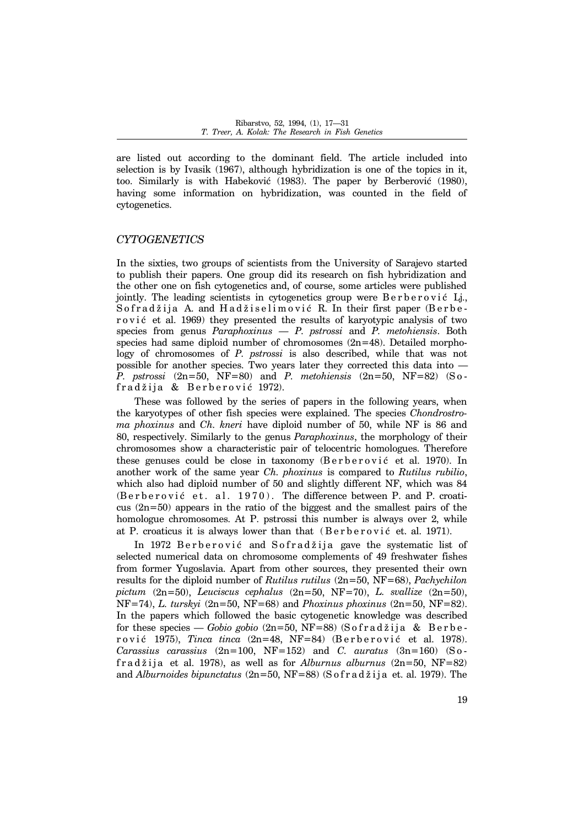are listed out according to the dominant field. The article included into selection is by Ivasik (1967), although hybridization is one of the topics in it, too. Similarly is with Habeković (1983). The paper by Berberović (1980), having some information on hybridization, was counted in the field of cytogenetics.

#### *CYTOGENETICS*

In the sixties, two groups of scientists from the University of Sarajevo started to publish their papers. One group did its research on fish hybridization and the other one on fish cytogenetics and, of course, some articles were published jointly. The leading scientists in cytogenetics group were  $B$ erberović Lj. Sofradžija A. and Hadžiselimović R. In their first paper (Berber o v i  $\acute{e}$  et al. 1969) they presented the results of karyotypic analysis of two species from genus *Paraphoxinus – P. pstrossi* and *P. metohiensis*. Both species had same diploid number of chromosomes  $(2n=48)$ . Detailed morphology of chromosomes of *P. pstrossi* is also described, while that was not possible for another species. Two years later they corrected this data into  $-$ *P. pstrossi* (2n=50, NF=80) and *P. metohiensis* (2n=50, NF=82) (S o fradžija & Berberović 1972).

These was followed by the series of papers in the following years, when the karyotypes of other fish species were explained. The species *Chondrostroma phoxinus* and *Ch. kneri* have diploid number of 50, while NF is 86 and 80, respectively. Similarly to the genus *Paraphoxinus*, the morphology of their chromosomes show a characteristic pair of telocentric homologues. Therefore these genuses could be close in taxonomy (Berberović et al. 1970). In another work of the same year *Ch. phoxinus* is compared to *Rutilus rubilio*, which also had diploid number of 50 and slightly different NF, which was 84 (Berberović et. al. 1970). The difference between P. and P. croaticus (2n=50) appears in the ratio of the biggest and the smallest pairs of the homologue chromosomes. At P. pstrossi this number is always over 2, while at P. croaticus it is always lower than that  $(Berberovi\acute{e}$  et. al. 1971).

In 1972 Berberović and Sofradžija gave the systematic list of selected numerical data on chromosome complements of 49 freshwater fishes from former Yugoslavia. Apart from other sources, they presented their own results for the diploid number of *Rutilus rutilus* (2n=50, NF=68), *Pachychilon pictum* (2n=50), *Leuciscus cephalus* (2n=50, NF=70), *L. svallize* (2n=50), NF=74), *L. turskyi* (2n=50, NF=68) and *Phoxinus phoxinus* (2n=50, NF=82). In the papers which followed the basic cytogenetic knowledge was described for these species – *Gobio gobio* (2n=50, NF=88) (S o f r a d ž i j a & B e r b e rović 1975), *Tinca tinca* (2n=48, NF=84) (Berberović et al. 1978). *Carassius carassius* (2n=100, NF=152) and *C. auratus* (3n=160) (S o f r a d  $\check{z}$  i j a et al. 1978), as well as for *Alburnus alburnus*  $(2n=50, NF=82)$ and *Alburnoides bipunctatus* (2n=50, NF=88) (S of r a d ž i j a et. al. 1979). The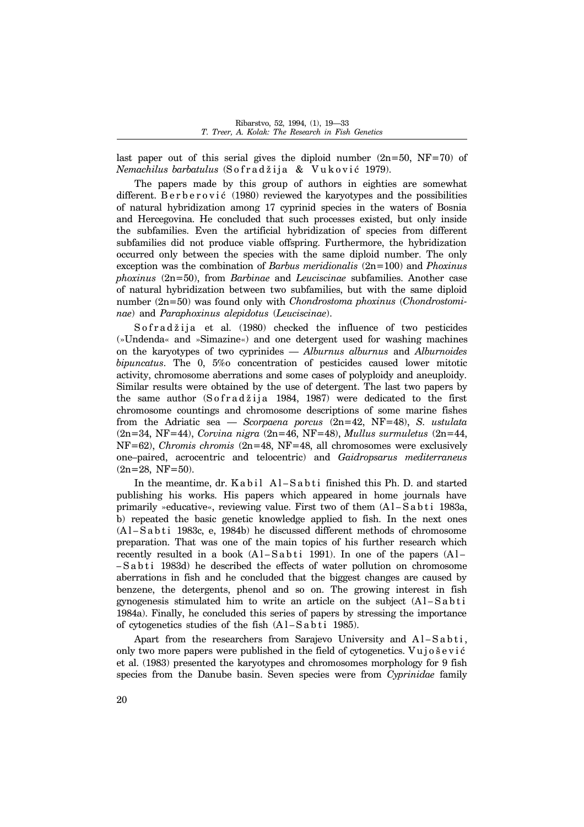last paper out of this serial gives the diploid number  $(2n=50, NF=70)$  of *Nemachilus barbatulus* (Sofradžija & Vuković 1979).

The papers made by this group of authors in eighties are somewhat different. Berberović  $(1980)$  reviewed the karyotypes and the possibilities of natural hybridization among 17 cyprinid species in the waters of Bosnia and Hercegovina. He concluded that such processes existed, but only inside the subfamilies. Even the artificial hybridization of species from different subfamilies did not produce viable offspring. Furthermore, the hybridization occurred only between the species with the same diploid number. The only exception was the combination of *Barbus meridionalis* (2n=100) and *Phoxinus phoxinus* (2n=50), from *Barbinae* and *Leuciscinae* subfamilies. Another case of natural hybridization between two subfamilies, but with the same diploid number (2n=50) was found only with *Chondrostoma phoxinus* (*Chondrostominae*) and *Paraphoxinus alepidotus* (*Leuciscinae*).

S o f  $r$  a d  $\check{z}$  i j a et al. (1980) checked the influence of two pesticides (»Undenda« and »Simazine«) and one detergent used for washing machines on the karyotypes of two cyprinides – *Alburnus alburnus* and *Alburnoides bipuncatus*. The 0, 5%o concentration of pesticides caused lower mitotic activity, chromosome aberrations and some cases of polyploidy and aneuploidy. Similar results were obtained by the use of detergent. The last two papers by the same author  $(S \text{ of } ra \text{ d } \check{z}$  is a 1984, 1987) were dedicated to the first chromosome countings and chromosome descriptions of some marine fishes from the Adriatic sea — *Scorpaena porcus* (2n=42, NF=48), *S. ustulata* (2n=34, NF=44), *Corvina nigra* (2n=46, NF=48), *Mullus surmuletus* (2n=44, NF=62), *Chromis chromis* (2n=48, NF=48, all chromosomes were exclusively one-paired, acrocentric and telocentric) and *Gaidropsarus mediterraneus*  $(2n=28, NF=50)$ .

In the meantime, dr.  $Kabil$   $Al-Sabti$  finished this Ph. D. and started publishing his works. His papers which appeared in home journals have primarily »educative«, reviewing value. First two of them  $(A - S a b t i 1983a$ , b) repeated the basic genetic knowledge applied to fish. In the next ones  $(A1-Sabti 1983c, e, 1984b)$  he discussed different methods of chromosome preparation. That was one of the main topics of his further research which recently resulted in a book  $(A1-Sab<sub>t</sub>$  i 1991). In one of the papers  $(A1-A<sub>t</sub>)$ -Sabti 1983d) he described the effects of water pollution on chromosome aberrations in fish and he concluded that the biggest changes are caused by benzene, the detergents, phenol and so on. The growing interest in fish gynogenesis stimulated him to write an article on the subject  $(A \cup S$  a b t i 1984a). Finally, he concluded this series of papers by stressing the importance of cytogenetics studies of the fish  $(A1-Sa b t i 1985)$ .

Apart from the researchers from Sarajevo University and Al-Sabti, only two more papers were published in the field of cytogenetics. Vujošević et al. (1983) presented the karyotypes and chromosomes morphology for 9 fish species from the Danube basin. Seven species were from *Cyprinidae* family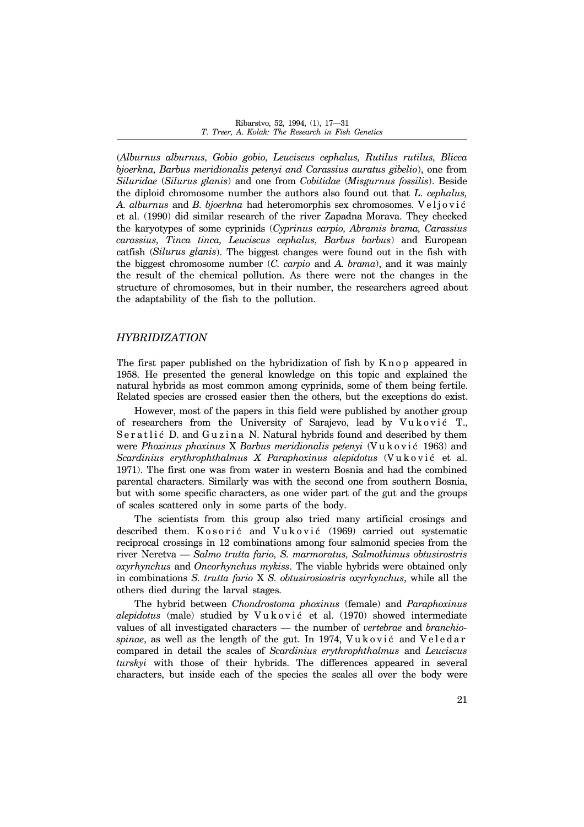(*Alburnus alburnus, Gobio gobio, Leuciscus cephalus, Rutilus rutilus, Blicca bjoerkna, Barbus meridionalis petenyi and Carassius auratus gibelio*), one from *Siluridae* (*Silurus glanis*) and one from *Cobitidae* (*Misgurnus fossilis*). Beside the diploid chromosome number the authors also found out that *L. cephalus,* A. alburnus and *B. bjoerkna* had heteromorphis sex chromosomes. Veljović et al. (1990) did similar research of the river Zapadna Morava. They checked the karyotypes of some cyprinids (*Cyprinus carpio, Abramis brama, Carassius carassius, Tinca tinca, Leuciscus cephalus, Barbus barbus*) and European catfish (*Silurus glanis*). The biggest changes were found out in the fish with the biggest chromosome number (*C. carpio* and *A. brama*), and it was mainly the result of the chemical pollution. As there were not the changes in the structure of chromosomes, but in their number, the researchers agreed about the adaptability of the fish to the pollution.

#### *HYBRIDIZATION*

The first paper published on the hybridization of fish by K n op appeared in 1958. He presented the general knowledge on this topic and explained the natural hybrids as most common among cyprinids, some of them being fertile. Related species are crossed easier then the others, but the exceptions do exist.

However, most of the papers in this field were published by another group of researchers from the University of Sarajevo, lead by Vuković T., Seratlić D. and Guzina N. Natural hybrids found and described by them were *Phoxinus phoxinus* X *Barbus meridionalis petenyi* (Vuković 1963) and *Scardinius erythrophthalmus X Paraphoxinus alepidotus* (Vuković et al. 1971). The first one was from water in western Bosnia and had the combined parental characters. Similarly was with the second one from southern Bosnia, but with some specific characters, as one wider part of the gut and the groups of scales scattered only in some parts of the body.

The scientists from this group also tried many artificial crosings and described them. K o sori  $\acute{c}$  and V u k o vi $\acute{c}$  (1969) carried out systematic reciprocal crossings in 12 combinations among four salmonid species from the river Neretva ó *Salmo trutta fario, S. marmoratus, Salmothimus obtusirostris oxyrhynchus* and *Oncorhynchus mykiss*. The viable hybrids were obtained only in combinations *S. trutta fario* X *S. obtusirosiostris oxyrhynchus*, while all the others died during the larval stages.

The hybrid between *Chondrostoma phoxinus* (female) and *Paraphoxinus alepidotus* (male) studied by Vuković et al. (1970) showed intermediate values of all investigated characters — the number of *vertebrae* and *branchio*spinae, as well as the length of the gut. In 1974, Vu k o vic and V e l e d a r compared in detail the scales of *Scardinius erythrophthalmus* and *Leuciscus turskyi* with those of their hybrids. The differences appeared in several characters, but inside each of the species the scales all over the body were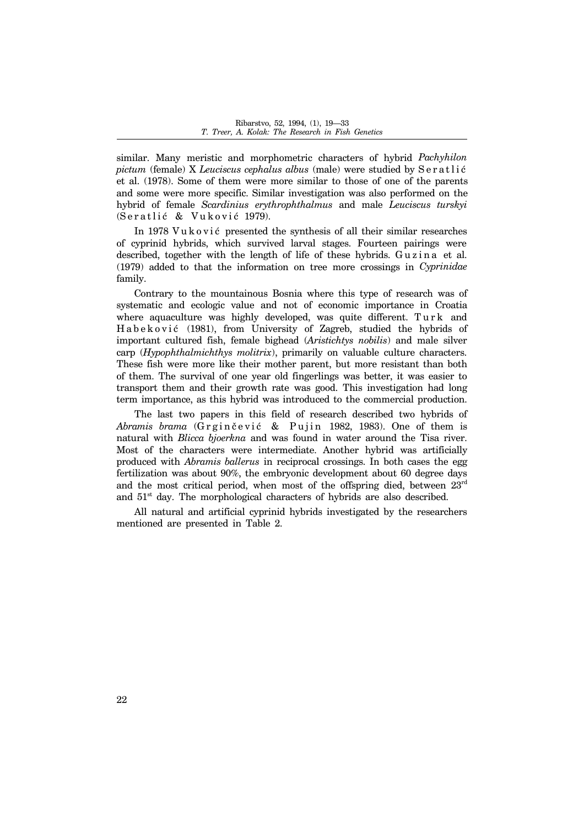similar. Many meristic and morphometric characters of hybrid *Pachyhilon pictum* (female) X *Leuciscus cephalus albus* (male) were studied by Seratlic et al. (1978). Some of them were more similar to those of one of the parents and some were more specific. Similar investigation was also performed on the hybrid of female *Scardinius erythrophthalmus* and male *Leuciscus turskyi* (Seratlić & Vuković 1979).

In 1978 Vu k o v i  $\acute{c}$  presented the synthesis of all their similar researches of cyprinid hybrids, which survived larval stages. Fourteen pairings were described, together with the length of life of these hybrids. Guzina et al. (1979) added to that the information on tree more crossings in *Cyprinidae* family.

Contrary to the mountainous Bosnia where this type of research was of systematic and ecologic value and not of economic importance in Croatia where aquaculture was highly developed, was quite different. Turk and Habeković (1981), from University of Zagreb, studied the hybrids of important cultured fish, female bighead (*Aristichtys nobilis*) and male silver carp (*Hypophthalmichthys molitrix*), primarily on valuable culture characters. These fish were more like their mother parent, but more resistant than both of them. The survival of one year old fingerlings was better, it was easier to transport them and their growth rate was good. This investigation had long term importance, as this hybrid was introduced to the commercial production.

The last two papers in this field of research described two hybrids of *Abramis brama* (Grginčević & Pujin 1982, 1983). One of them is natural with *Blicca bjoerkna* and was found in water around the Tisa river. Most of the characters were intermediate. Another hybrid was artificially produced with *Abramis ballerus* in reciprocal crossings. In both cases the egg fertilization was about 90%, the embryonic development about 60 degree days and the most critical period, when most of the offspring died, between  $23<sup>rd</sup>$ and  $51<sup>st</sup>$  day. The morphological characters of hybrids are also described.

All natural and artificial cyprinid hybrids investigated by the researchers mentioned are presented in Table 2.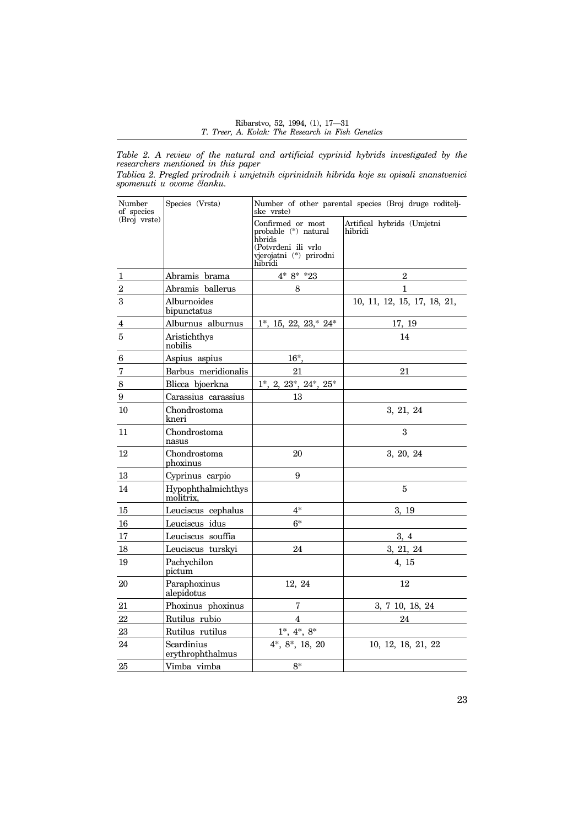*Table 2. A review of the natural and artificial cyprinid hybrids investigated by the researchers mentioned in this paper*

| Tablica 2. Pregled prirodnih i umjetnih ciprinidnih hibrida koje su opisali znanstvenici |  |  |  |  |
|------------------------------------------------------------------------------------------|--|--|--|--|
| spomenuti u ovome članku.                                                                |  |  |  |  |

| Number<br>of species | Species (Vrsta)                 | Number of other parental species (Broj druge roditelj-<br>ske vrste)                                             |                                       |  |  |
|----------------------|---------------------------------|------------------------------------------------------------------------------------------------------------------|---------------------------------------|--|--|
| (Broj vrste)         |                                 | Confirmed or most<br>probable (*) natural<br>hbrids<br>(Potvrđeni ili vrlo<br>vjerojatni (*) prirodni<br>hibridi | Artifical hybrids (Umjetni<br>hibridi |  |  |
| 1                    | Abramis brama                   | $4*8**23$                                                                                                        | $\overline{2}$                        |  |  |
| $\overline{2}$       | Abramis ballerus                | 8                                                                                                                | $\mathbf{1}$                          |  |  |
| 3                    | Alburnoides<br>bipunctatus      |                                                                                                                  | 10, 11, 12, 15, 17, 18, 21,           |  |  |
| 4                    | Alburnus alburnus               | $1^*$ , 15, 22, 23,* $24^*$                                                                                      | 17, 19                                |  |  |
| 5                    | Aristichthys<br>nobilis         |                                                                                                                  | 14                                    |  |  |
| 6                    | Aspius aspius                   | $16^*$                                                                                                           |                                       |  |  |
| $\sqrt{7}$           | Barbus meridionalis             | 21                                                                                                               | 21                                    |  |  |
| 8                    | Blicca bjoerkna                 | $1^*$ , 2, $23^*$ , $24^*$ , $25^*$                                                                              |                                       |  |  |
| $\boldsymbol{9}$     | Carassius carassius             | 13                                                                                                               |                                       |  |  |
| 10                   | Chondrostoma<br>kneri           |                                                                                                                  | 3, 21, 24                             |  |  |
| 11                   | Chondrostoma<br>nasus           |                                                                                                                  | 3                                     |  |  |
| 12                   | Chondrostoma<br>phoxinus        | 20                                                                                                               | 3, 20, 24                             |  |  |
| $13\,$               | Cyprinus carpio                 | 9                                                                                                                |                                       |  |  |
| 14                   | Hypophthalmichthys<br>molitrix. |                                                                                                                  | 5                                     |  |  |
| 15                   | Leuciscus cephalus              | $4*$                                                                                                             | 3, 19                                 |  |  |
| 16                   | Leuciscus idus                  | $6*$                                                                                                             |                                       |  |  |
| 17                   | Leuciscus souffia               |                                                                                                                  | 3, 4                                  |  |  |
| 18                   | Leuciscus turskyi               | 24                                                                                                               | 3, 21, 24                             |  |  |
| 19                   | Pachychilon<br>pictum           |                                                                                                                  | 4, 15                                 |  |  |
| 20                   | Paraphoxinus<br>alepidotus      | 12, 24                                                                                                           | 12                                    |  |  |
| 21                   | Phoxinus phoxinus               | 7                                                                                                                | 3, 7 10, 18, 24                       |  |  |
| 22                   | Rutilus rubio                   | $\overline{4}$                                                                                                   | 24                                    |  |  |
| 23                   | Rutilus rutilus                 | $1^*, 4^*, 8^*$                                                                                                  |                                       |  |  |
| 24                   | Scardinius<br>erythrophthalmus  | $4^*, 8^*, 18, 20$                                                                                               | 10, 12, 18, 21, 22                    |  |  |
| $25\,$               | Vimba vimba                     | $8*$                                                                                                             |                                       |  |  |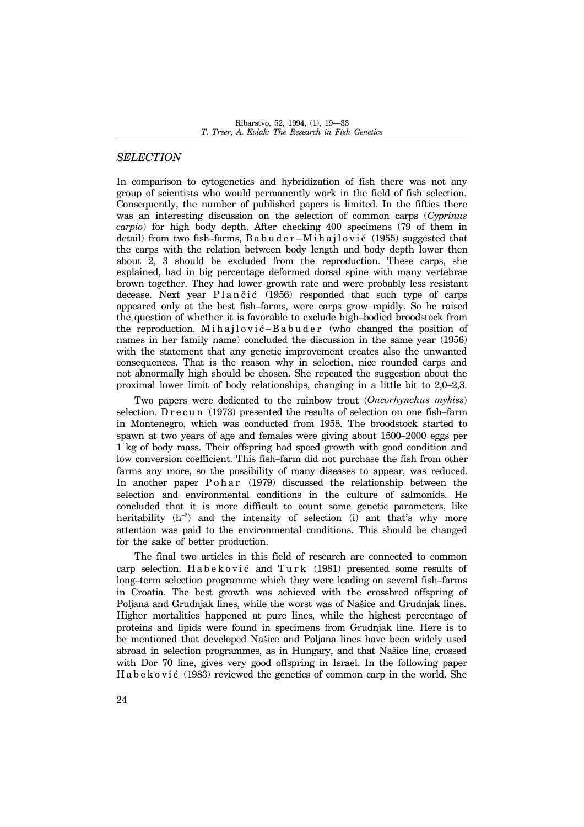## *SELECTION*

In comparison to cytogenetics and hybridization of fish there was not any group of scientists who would permanently work in the field of fish selection. Consequently, the number of published papers is limited. In the fifties there was an interesting discussion on the selection of common carps (*Cyprinus carpio*) for high body depth. After checking 400 specimens (79 of them in detail) from two fish-farms, B a b u d e r – M i h a j l o v i  $\epsilon$  (1955) suggested that the carps with the relation between body length and body depth lower then about 2, 3 should be excluded from the reproduction. These carps, she explained, had in big percentage deformed dorsal spine with many vertebrae brown together. They had lower growth rate and were probably less resistant decease. Next year  $Plan\ddot{c}$  (1956) responded that such type of carps appeared only at the best fish–farms, were carps grow rapidly. So he raised the question of whether it is favorable to exclude high-bodied broodstock from the reproduction. M i h a j l o v i  $\acute{c}$  - B a b u d e r (who changed the position of names in her family name) concluded the discussion in the same year (1956) with the statement that any genetic improvement creates also the unwanted consequences. That is the reason why in selection, nice rounded carps and not abnormally high should be chosen. She repeated the suggestion about the proximal lower limit of body relationships, changing in a little bit to  $2,0-2,3$ .

Two papers were dedicated to the rainbow trout (*Oncorhynchus mykiss*) selection. D  $r$  e c u n (1973) presented the results of selection on one fish-farm in Montenegro, which was conducted from 1958. The broodstock started to spawn at two years of age and females were giving about  $1500-2000$  eggs per 1 kg of body mass. Their offspring had speed growth with good condition and low conversion coefficient. This fish–farm did not purchase the fish from other farms any more, so the possibility of many diseases to appear, was reduced. In another paper  $P \circ h \circ a r$  (1979) discussed the relationship between the selection and environmental conditions in the culture of salmonids. He concluded that it is more difficult to count some genetic parameters, like heritability  $(h^{-2})$  and the intensity of selection (i) ant that's why more attention was paid to the environmental conditions. This should be changed for the sake of better production.

The final two articles in this field of research are connected to common carp selection. Habeković and Turk (1981) presented some results of long-term selection programme which they were leading on several fish-farms in Croatia. The best growth was achieved with the crossbred offspring of Poljana and Grudnjak lines, while the worst was of Našice and Grudnjak lines. Higher mortalities happened at pure lines, while the highest percentage of proteins and lipids were found in specimens from Grudnjak line. Here is to be mentioned that developed Našice and Poljana lines have been widely used abroad in selection programmes, as in Hungary, and that Našice line, crossed with Dor 70 line, gives very good offspring in Israel. In the following paper H a b e k o v i  $\epsilon$  (1983) reviewed the genetics of common carp in the world. She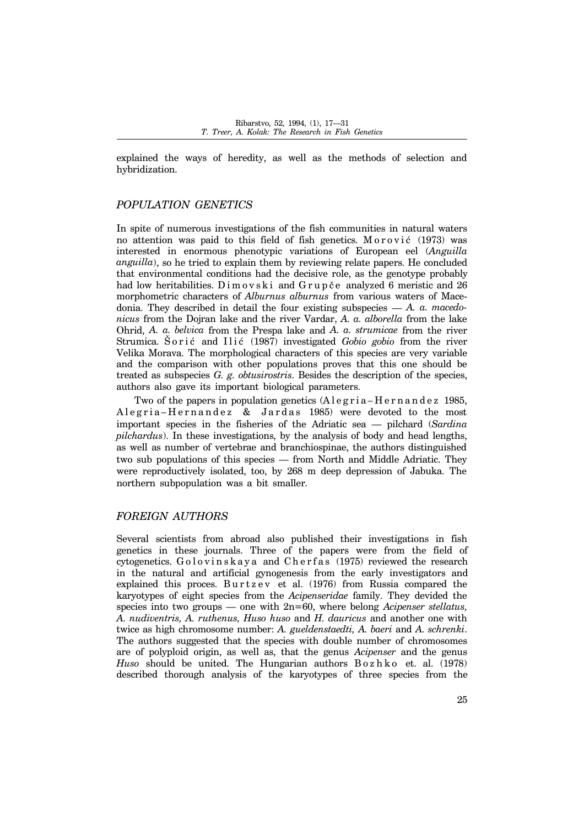explained the ways of heredity, as well as the methods of selection and hybridization.

## *POPULATION GENETICS*

In spite of numerous investigations of the fish communities in natural waters no attention was paid to this field of fish genetics.  $M \text{ or } \text{ovi}$   $\epsilon$  (1973) was interested in enormous phenotypic variations of European eel (*Anguilla anguilla*), so he tried to explain them by reviewing relate papers. He concluded that environmental conditions had the decisive role, as the genotype probably had low heritabilities. Dimovski and Grupče analyzed 6 meristic and 26 morphometric characters of *Alburnus alburnus* from various waters of Macedonia. They described in detail the four existing subspecies  $-A$ . a. macedo*nicus* from the Dojran lake and the river Vardar, *A. a. alborella* from the lake Ohrid, *A. a. belvica* from the Prespa lake and *A. a. strumicae* from the river Strumica. Sorić and Ilić (1987) investigated *Gobio gobio* from the river Velika Morava. The morphological characters of this species are very variable and the comparison with other populations proves that this one should be treated as subspecies *G. g. obtusirostris*. Besides the description of the species, authors also gave its important biological parameters.

Two of the papers in population genetics  $(A \leq g \leq r \leq a - H \leq r \leq n \leq n \leq d \leq 1985$ , Alegria-Hernandez & Jardas 1985) were devoted to the most important species in the fisheries of the Adriatic sea – pilchard (*Sardina pilchardus*). In these investigations, by the analysis of body and head lengths, as well as number of vertebrae and branchiospinae, the authors distinguished two sub populations of this species – from North and Middle Adriatic. They were reproductively isolated, too, by 268 m deep depression of Jabuka. The northern subpopulation was a bit smaller.

#### *FOREIGN AUTHORS*

Several scientists from abroad also published their investigations in fish genetics in these journals. Three of the papers were from the field of cytogenetics.  $G \cdot o \cdot l \cdot o$  is kay a and Cherfas (1975) reviewed the research in the natural and artificial gynogenesis from the early investigators and explained this proces. Burtzev et al. (1976) from Russia compared the karyotypes of eight species from the *Acipenseridae* family. They devided the species into two groups – one with 2n=60, where belong *Acipenser stellatus*, *A. nudiventris, A. ruthenus, Huso huso* and *H. dauricus* and another one with twice as high chromosome number: *A. gueldenstaedti, A. baeri* and *A. schrenki*. The authors suggested that the species with double number of chromosomes are of polyploid origin, as well as, that the genus *Acipenser* and the genus *Huso* should be united. The Hungarian authors Bozhko et. al. (1978) described thorough analysis of the karyotypes of three species from the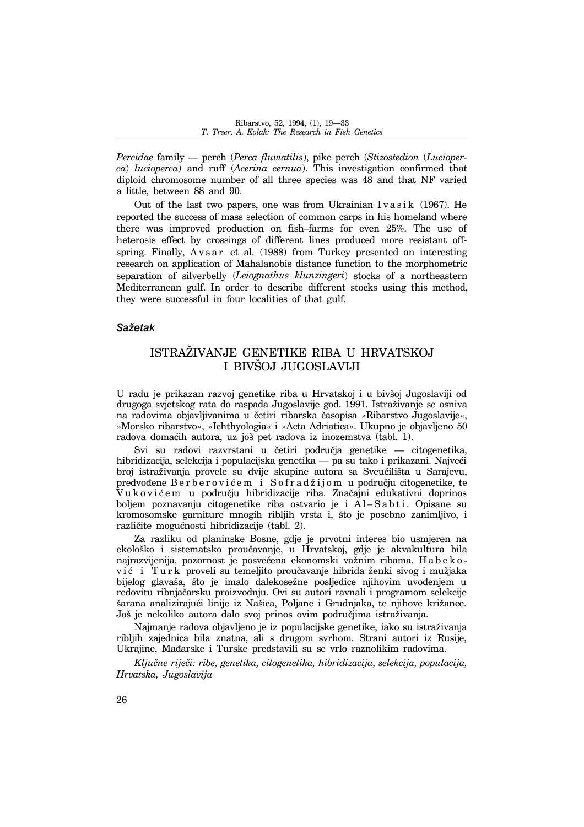*Percidae* family — perch (*Perca fluviatilis*), pike perch (*Stizostedion* (*Lucioperca*) *lucioperca*) and ruff (*Acerina cernua*). This investigation confirmed that diploid chromosome number of all three species was 48 and that NF varied a little, between 88 and 90.

Out of the last two papers, one was from Ukrainian I v a s i k  $(1967)$ . He reported the success of mass selection of common carps in his homeland where there was improved production on fish-farms for even 25%. The use of heterosis effect by crossings of different lines produced more resistant offspring. Finally,  $A \nu s a r$  et al. (1988) from Turkey presented an interesting research on application of Mahalanobis distance function to the morphometric separation of silverbelly (*Leiognathus klunzingeri*) stocks of a northeastern Mediterranean gulf. In order to describe different stocks using this method, they were successful in four localities of that gulf.

## *Saëetak*

## ISTRA@IVANJE GENETIKE RIBA U HRVATSKOJ I BIVŠOJ JUGOSLAVIJI

U radu je prikazan razvoj genetike riba u Hrvatskoj i u bivšoj Jugoslaviji od drugoga svjetskog rata do raspada Jugoslavije god. 1991. Istraëivanje se osniva na radovima objavljivanima u četiri ribarska časopisa »Ribarstvo Jugoslavije«, »Morsko ribarstvo«, »Ichthyologia« i »Acta Adriatica«. Ukupno je objavljeno 50 radova domaćih autora, uz još pet radova iz inozemstva (tabl. 1).

Svi su radovi razvrstani u četiri područja genetike — citogenetika, hibridizacija, selekcija i populacijska genetika — pa su tako i prikazani. Najveći broj istraživanja provele su dvije skupine autora sa Sveučilišta u Sarajevu, predvođene B e r b e r o v i ć e m i S o f r a d ž i j o m u području citogenetike, te V u k o viće m u području hibridizacije riba. Značajni edukativni doprinos boljem poznavanju citogenetike riba ostvario je i Al-Sabti. Opisane su kromosomske garniture mnogih ribljih vrsta i, {to je posebno zanimljivo, i različite mogućnosti hibridizacije (tabl. 2).

Za razliku od planinske Bosne, gdje je prvotni interes bio usmjeren na ekološko i sistematsko proučavanje, u Hrvatskoj, gdje je akvakultura bila najrazvijenija, pozornost je posvećena ekonomski važnim ribama. H a b e k o vić i Turk proveli su temeljito proučavanje hibrida ženki sivog i mužjaka bijelog glavaša, što je imalo dalekosežne posljedice njihovim uvođenjem u redovitu ribnjačarsku proizvodnju. Ovi su autori ravnali i programom selekcije šarana analizirajući linije iz Našica, Poljane i Grudnjaka, te njihove križance. Još je nekoliko autora dalo svoj prinos ovim područjima istraživanja.

Najmanje radova objavljeno je iz populacijske genetike, iako su istraëivanja ribljih zajednica bila znatna, ali s drugom svrhom. Strani autori iz Rusije, Ukrajine, Mađarske i Turske predstavili su se vrlo raznolikim radovima.

*Klju~ne rije~i: ribe, genetika, citogenetika, hibridizacija, selekcija, populacija, Hrvatska, Jugoslavija*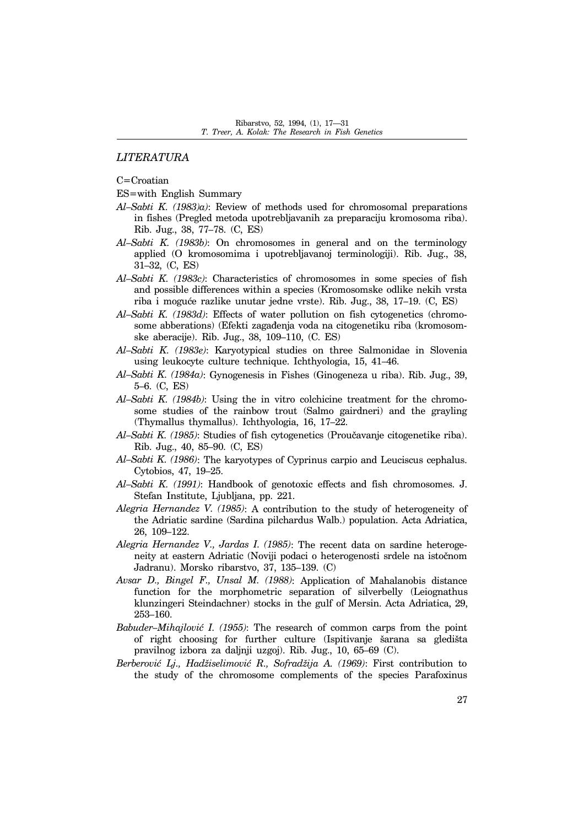## *LITERATURA*

C=Croatian

- ES=with English Summary
- *Al-Sabti K. (1983)a)*: Review of methods used for chromosomal preparations in fishes (Pregled metoda upotrebljavanih za preparaciju kromosoma riba). Rib. Jug., 38, 77-78. (C, ES)
- Al-Sabti K. (1983b): On chromosomes in general and on the terminology applied (O kromosomima i upotrebljavanoj terminologiji). Rib. Jug., 38, 31-32, (C, ES)
- *Al-Sabti K. (1983c)*: Characteristics of chromosomes in some species of fish and possible differences within a species (Kromosomske odlike nekih vrsta riba i moguće razlike unutar jedne vrste). Rib. Jug., 38, 17–19. (C, ES)
- Al-Sabti K. (1983d): Effects of water pollution on fish cytogenetics (chromosome abberations) (Efekti zagađenja voda na citogenetiku riba (kromosomske aberacije). Rib. Jug., 38, 109-110, (C. ES)
- *AlñSabti K. (1983e)*: Karyotypical studies on three Salmonidae in Slovenia using leukocyte culture technique. Ichthyologia, 15, 41-46.
- *AlñSabti K. (1984a)*: Gynogenesis in Fishes (Ginogeneza u riba). Rib. Jug., 39, 5–6. (C, ES)
- *Al-Sabti K. (1984b)*: Using the in vitro colchicine treatment for the chromosome studies of the rainbow trout (Salmo gairdneri) and the grayling (Thymallus thymallus). Ichthyologia, 16, 17-22.
- *AlñSabti K. (1985)*: Studies of fish cytogenetics (Prou~avanje citogenetike riba). Rib. Jug., 40, 85-90. (C, ES)
- *AlñSabti K. (1986)*: The karyotypes of Cyprinus carpio and Leuciscus cephalus. Cytobios, 47, 19-25.
- *AlñSabti K. (1991)*: Handbook of genotoxic effects and fish chromosomes. J. Stefan Institute, Ljubljana, pp. 221.
- *Alegria Hernandez V. (1985)*: A contribution to the study of heterogeneity of the Adriatic sardine (Sardina pilchardus Walb.) population. Acta Adriatica, 26, 109-122.
- *Alegria Hernandez V., Jardas I. (1985)*: The recent data on sardine heterogeneity at eastern Adriatic (Noviji podaci o heterogenosti srdele na istočnom Jadranu). Morsko ribarstvo, 37, 135-139.  $(C)$
- *Avsar D., Bingel F., Unsal M. (1988)*: Application of Mahalanobis distance function for the morphometric separation of silverbelly (Leiognathus klunzingeri Steindachner) stocks in the gulf of Mersin. Acta Adriatica, 29, 253-160.
- *Babuder-Mihajlović I. (1955)*: The research of common carps from the point of right choosing for further culture (Ispitivanje šarana sa gledišta pravilnog izbora za daljnji uzgoj). Rib. Jug., 10, 65-69 (C).
- *Berberovi} Lj., Hadëiselimovi} R., Sofradëija A. (1969)*: First contribution to the study of the chromosome complements of the species Parafoxinus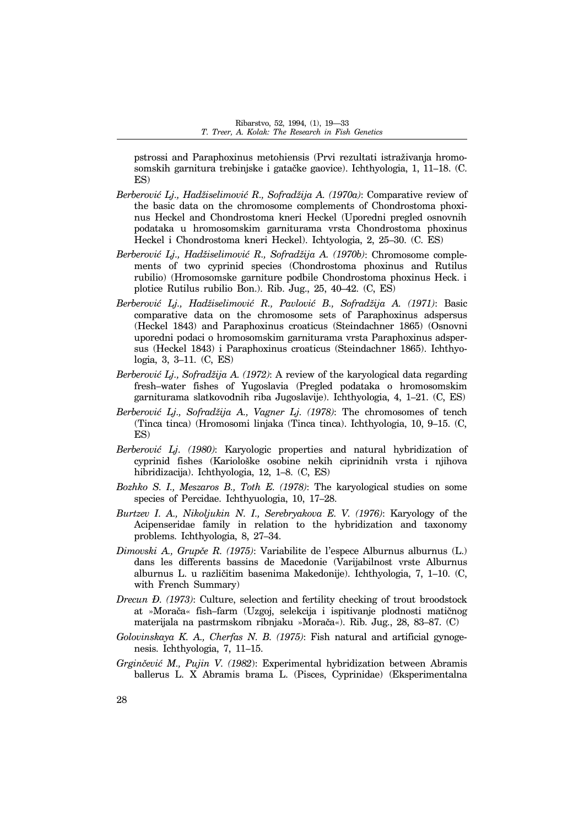pstrossi and Paraphoxinus metohiensis (Prvi rezultati istraëivanja hromosomskih garnitura trebinjske i gatačke gaovice). Ichthyologia, 1, 11–18. (C. ES)

- *Berberovi} Lj., Hadëiselimovi} R., Sofradëija A. (1970a)*: Comparative review of the basic data on the chromosome complements of Chondrostoma phoxinus Heckel and Chondrostoma kneri Heckel (Uporedni pregled osnovnih podataka u hromosomskim garniturama vrsta Chondrostoma phoxinus Heckel i Chondrostoma kneri Heckel). Ichtyologia, 2, 25-30. (C. ES)
- Berberović Lj., Hadžiselimović R., Sofradžija A. (1970b): Chromosome complements of two cyprinid species (Chondrostoma phoxinus and Rutilus rubilio) (Hromosomske garniture podbile Chondrostoma phoxinus Heck. i plotice Rutilus rubilio Bon.). Rib. Jug.,  $25, 40-42$ . (C, ES)
- *Berberovi} Lj., Hadëiselimovi} R., Pavlovi} B., Sofradëija A. (1971)*: Basic comparative data on the chromosome sets of Paraphoxinus adspersus (Heckel 1843) and Paraphoxinus croaticus (Steindachner 1865) (Osnovni uporedni podaci o hromosomskim garniturama vrsta Paraphoxinus adspersus (Heckel 1843) i Paraphoxinus croaticus (Steindachner 1865). Ichthyologia, 3, 3-11. (C, ES)
- *Berberovi} Lj., Sofradëija A. (1972)*: A review of the karyological data regarding fresh-water fishes of Yugoslavia (Pregled podataka o hromosomskim garniturama slatkovodnih riba Jugoslavije). Ichthyologia, 4, 1–21. (C, ES)
- Berberović Lj., Sofradžija A., Vagner Lj. (1978): The chromosomes of tench (Tinca tinca) (Hromosomi linjaka (Tinca tinca). Ichthyologia, 10, 9-15. (C, ES)
- *Berberović Lj. (1980)*: Karyologic properties and natural hybridization of cyprinid fishes (Kariološke osobine nekih ciprinidnih vrsta i njihova hibridizacija). Ichthyologia, 12, 1–8. (C, ES)
- *Bozhko S. I., Meszaros B., Toth E. (1978)*: The karyological studies on some species of Percidae. Ichthyuologia, 10, 17-28.
- *Burtzev I. A., Nikoljukin N. I., Serebryakova E. V. (1976)*: Karyology of the Acipenseridae family in relation to the hybridization and taxonomy problems. Ichthyologia, 8, 27-34.
- *Dimovski A., Grupče R. (1975)*: Variabilite de l'espece Alburnus alburnus (L.) dans les differents bassins de Macedonie (Varijabilnost vrste Alburnus alburnus L. u različitim basenima Makedonije). Ichthyologia, 7, 1–10. (C, with French Summary)
- *Drecun D. (1973)*: Culture, selection and fertility checking of trout broodstock at »Morača« fish-farm (Uzgoj, selekcija i ispitivanje plodnosti matičnog materijala na pastrmskom ribnjaku »Morača«). Rib. Jug., 28, 83–87. (C)
- *Golovinskaya K. A., Cherfas N. B. (1975)*: Fish natural and artificial gynogenesis. Ichthyologia, 7, 11-15.
- *Grgin~evi} M., Pujin V. (1982*): Experimental hybridization between Abramis ballerus L. X Abramis brama L. (Pisces, Cyprinidae) (Eksperimentalna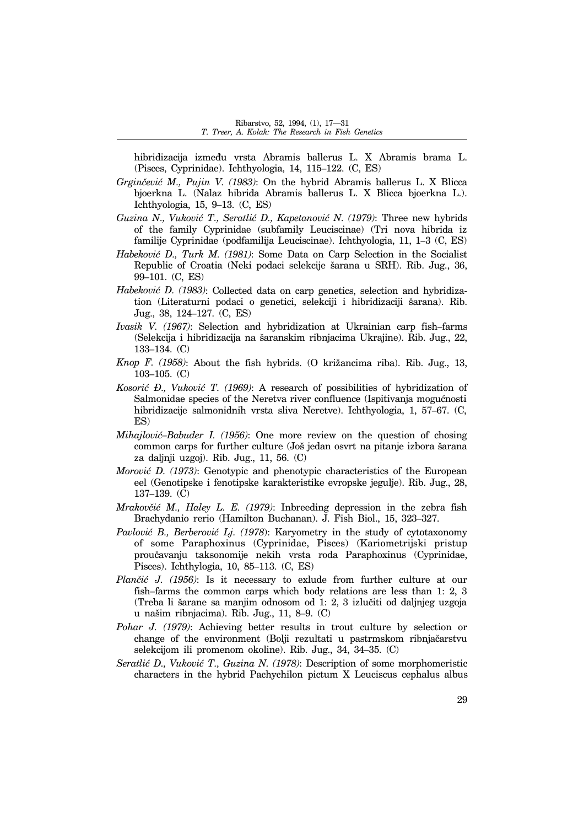hibridizacija između vrsta Abramis ballerus L. X Abramis brama L. (Pisces, Cyprinidae). Ichthyologia,  $14$ ,  $115-122$ . (C, ES)

- *Grginčević M., Pujin V. (1983)*: On the hybrid Abramis ballerus L. X Blicca bjoerkna L. (Nalaz hibrida Abramis ballerus L. X Blicca bjoerkna L.). Ichthyologia, 15, 9-13. (C, ES)
- *Guzina N., Vuković T., Seratlić D., Kapetanović N. (1979): Three new hybrids* of the family Cyprinidae (subfamily Leuciscinae) (Tri nova hibrida iz familije Cyprinidae (podfamilija Leuciscinae). Ichthyologia, 11, 1–3 (C, ES)
- *Habeković D., Turk M. (1981)*: Some Data on Carp Selection in the Socialist Republic of Croatia (Neki podaci selekcije šarana u SRH). Rib. Jug., 36, 99-101. (C, ES)
- *Habeković D. (1983)*: Collected data on carp genetics, selection and hybridization (Literaturni podaci o genetici, selekciji i hibridizaciji {arana). Rib. Jug., 38, 124-127. (C, ES)
- *Ivasik V. (1967)*: Selection and hybridization at Ukrainian carp fish-farms (Selekcija i hibridizacija na {aranskim ribnjacima Ukrajine). Rib. Jug., 22, 133-134. (C)
- *Knop F. (1958)*: About the fish hybrids. (O kriëancima riba). Rib. Jug., 13,  $103-105.$  (C)
- *Kosorić Đ., Vuković T. (1969)*: A research of possibilities of hybridization of Salmonidae species of the Neretva river confluence (Ispitivanja mogućnosti hibridizacije salmonidnih vrsta sliva Neretve). Ichthyologia, 1, 57–67. (C, ES)
- *Mihajlović–Babuder I. (1956)*: One more review on the question of chosing common carps for further culture (Još jedan osvrt na pitanje izbora šarana za daljnji uzgoj). Rib. Jug., 11, 56. (C)
- *Morović D. (1973)*: Genotypic and phenotypic characteristics of the European eel (Genotipske i fenotipske karakteristike evropske jegulje). Rib. Jug., 28,  $137-139.$  (C)
- *Mrakovčić M., Haley L. E. (1979)*: Inbreeding depression in the zebra fish Brachydanio rerio (Hamilton Buchanan). J. Fish Biol., 15, 323-327.
- *Pavlović B., Berberović Lj. (1978)*: Karyometry in the study of cytotaxonomy of some Paraphoxinus (Cyprinidae, Pisces) (Kariometrijski pristup proučavanju taksonomije nekih vrsta roda Paraphoxinus (Cyprinidae, Pisces). Ichthylogia, 10, 85-113. (C, ES)
- *Plančić J. (1956)*: Is it necessary to exlude from further culture at our fish-farms the common carps which body relations are less than 1: 2, 3 (Treba li šarane sa manjim odnosom od 1: 2, 3 izlučiti od daljnjeg uzgoja u našim ribnjacima). Rib. Jug.,  $11, 8-9$ . (C)
- *Pohar J. (1979)*: Achieving better results in trout culture by selection or change of the environment (Bolji rezultati u pastrmskom ribnjačarstvu selekcijom ili promenom okoline). Rib. Jug.,  $34$ ,  $34-35$ . (C)
- *Seratli} D., Vukovi} T., Guzina N. (1978)*: Description of some morphomeristic characters in the hybrid Pachychilon pictum X Leuciscus cephalus albus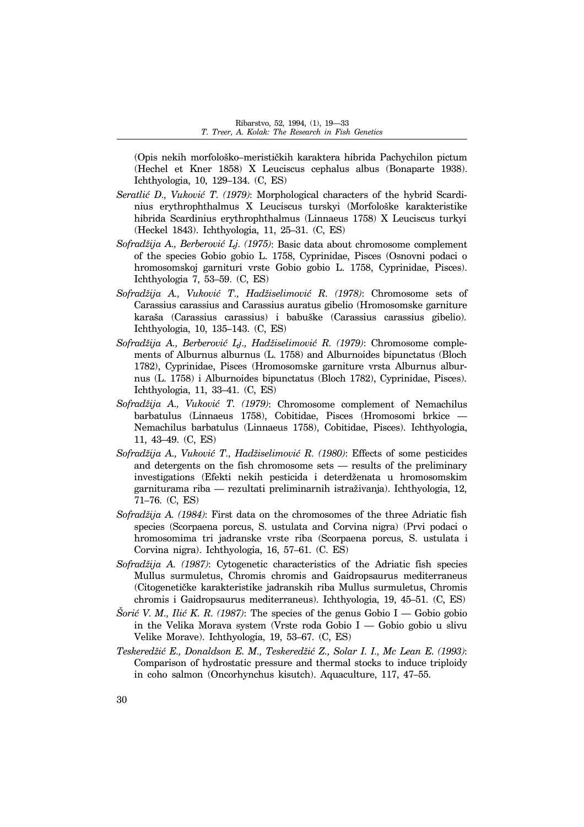(Opis nekih morfološko-merističkih karaktera hibrida Pachychilon pictum (Hechel et Kner 1858) X Leuciscus cephalus albus (Bonaparte 1938). Ichthyologia, 10, 129-134. (C, ES)

- *Seratlić D., Vuković T. (1979)*: Morphological characters of the hybrid Scardinius erythrophthalmus X Leuciscus turskyi (Morfološke karakteristike hibrida Scardinius erythrophthalmus (Linnaeus 1758) X Leuciscus turkyi (Heckel 1843). Ichthyologia, 11, 25-31. (C, ES)
- *Sofradëija A., Berberovi} Lj. (1975)*: Basic data about chromosome complement of the species Gobio gobio L. 1758, Cyprinidae, Pisces (Osnovni podaci o hromosomskoj garnituri vrste Gobio gobio L. 1758, Cyprinidae, Pisces). Ichthyologia 7, 53-59.  $(C, ES)$
- *Sofradëija A., Vukovi} T., Hadëiselimovi} R. (1978)*: Chromosome sets of Carassius carassius and Carassius auratus gibelio (Hromosomske garniture karaša (Carassius carassius) i babuške (Carassius carassius gibelio). Ichthyologia, 10, 135-143. (C, ES)
- Sofradžija A., Berberović Lj., Hadžiselimović R. (1979): Chromosome complements of Alburnus alburnus (L. 1758) and Alburnoides bipunctatus (Bloch 1782), Cyprinidae, Pisces (Hromosomske garniture vrsta Alburnus alburnus (L. 1758) i Alburnoides bipunctatus (Bloch 1782), Cyprinidae, Pisces). Ichthyologia, 11, 33-41. (C, ES)
- *Sofradëija A., Vukovi} T. (1979)*: Chromosome complement of Nemachilus barbatulus (Linnaeus 1758), Cobitidae, Pisces (Hromosomi brkice – Nemachilus barbatulus (Linnaeus 1758), Cobitidae, Pisces). Ichthyologia, 11, 43-49. (C, ES)
- Sofradžija A., Vuković T., Hadžiselimović R. (1980): Effects of some pesticides and detergents on the fish chromosome sets  $-$  results of the preliminary investigations (Efekti nekih pesticida i deterdëenata u hromosomskim garniturama riba — rezultati preliminarnih istraživanja). Ichthyologia, 12, 71-76. (C, ES)
- *Sofradëija A. (1984)*: First data on the chromosomes of the three Adriatic fish species (Scorpaena porcus, S. ustulata and Corvina nigra) (Prvi podaci o hromosomima tri jadranske vrste riba (Scorpaena porcus, S. ustulata i Corvina nigra). Ichthyologia, 16, 57-61. (C. ES)
- *Sofradëija A. (1987)*: Cytogenetic characteristics of the Adriatic fish species Mullus surmuletus, Chromis chromis and Gaidropsaurus mediterraneus (Citogenetičke karakteristike jadranskih riba Mullus surmuletus, Chromis chromis i Gaidropsaurus mediterraneus). Ichthyologia, 19, 45-51. (C, ES)
- *Šorić V. M., Ilić K. R. (1987)*: The species of the genus Gobio I Gobio gobio in the Velika Morava system (Vrste roda Gobio I  $\sim$  Gobio gobio u slivu Velike Morave). Ichthyologia,  $19, 53-67$ . (C, ES)
- Teskeredžić E., Donaldson E. M., Teskeredžić Z., Solar I. I., Mc Lean E. (1993): Comparison of hydrostatic pressure and thermal stocks to induce triploidy in coho salmon (Oncorhynchus kisutch). Aquaculture, 117, 47–55.